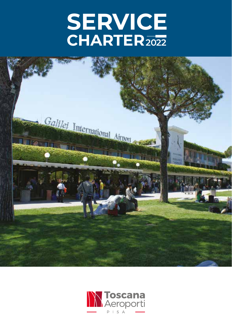# **SERVICE CHARTER 2022**



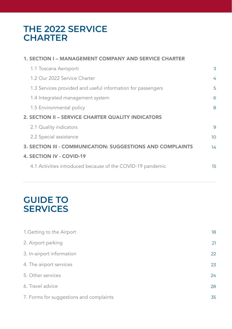# **THE 2022 SERVICE CHARTER**

| <u>1. SECTION I – MANAGEMENT COMPANY AND SERVICE CHARTER</u> |                 |
|--------------------------------------------------------------|-----------------|
| 1.1 Toscana Aeroporti                                        | 3               |
| 1.2 Our 2022 Service Charter                                 | 4               |
| 1.3 Services provided and useful information for passengers  | 5               |
| 1.4 Integrated management system                             | 6               |
| 1.5 Environmental policy                                     | 8               |
| <b>2. SECTION II - SERVICE CHARTER QUALITY INDICATORS</b>    |                 |
| 2.1 Quality indicators                                       | 9               |
| 2.2 Special assistance                                       | 10 <sup>°</sup> |
| 3. SECTION III - COMMUNICATION: SUGGESTIONS AND COMPLAINTS   | 14              |
| <b>4. SECTION IV - COVID-19</b>                              |                 |
| 4.1 Activities introduced because of the COVID-19 pandemic   | 15              |
|                                                              |                 |
|                                                              |                 |

# **GUIDE TO SERVICES**

| 1. Getting to the Airport               | 18 |
|-----------------------------------------|----|
| 2. Airport parking                      | 21 |
| 3. In-airport information               | 22 |
| 4. The airport services                 | 23 |
| 5. Other services                       | 24 |
| 6. Travel advice                        | 28 |
| 7. Forms for suggestions and complaints | 35 |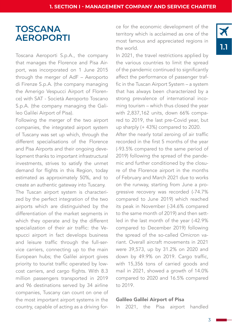# **TOSCANA AEROPORTI**

Toscana Aeroporti S.p.A., the company that manages the Florence and Pisa Airport, was incorporated on 1 June 2015 through the merger of AdF – Aeroporto di Firenze S.p.A. (the company managing the Amerigo Vespucci Airport of Florence) with SAT - Società Aeroporto Toscano S.p.A. (the company managing the Galileo Galilei Airport of Pisa).

Following the merger of the two airport companies, the integrated airport system of Tuscany was set up which, through the different specialisations of the Florence and Pisa Airports and their ongoing development thanks to important infrastructural investments, strives to satisfy the unmet demand for flights in this Region, today estimated as approximately 50%, and to create an authentic gateway into Tuscany.

The Tuscan airport system is characterized by the perfect integration of the two airports which are distinguished by the differentiation of the market segments in which they operate and by the different specialization of their air traffic: the Vespucci airport in fact develops business and leisure traffic through the full-service carriers, connecting up to the main European hubs; the Galilei airport gives priority to tourist traffic operated by lowcost carriers, and cargo flights. With 8.3 million passengers transported in 2019 and 96 destinations served by 34 airline companies, Tuscany can count on one of the most important airport systems in the country, capable of acting as a driving force for the economic development of the territory which is acclaimed as one of the most famous and appreciated regions in the world.

**1.1**

 $\bigtimes$ 

In 2021, the travel restrictions applied by the various countries to limit the spread of the pandemic continued to significantly affect the performance of passenger traffic in the Tuscan Airport System – a system that has always been characterized by a strong prevalence of international incoming tourism – which thus closed the year with 2,837,162 units, down 66% compared to 2019, the last pre-Covid year, but up sharply (+ 43%) compared to 2020.

After the nearly total zeroing of air traffic recorded in the first 5 months of the year (-93.5% compared to the same period of 2019) following the spread of the pandemic and further conditioned by the closure of the Florence airport in the months of February and March 2021 due to works on the runway, starting from June a progressive recovery was recorded (-74.7% compared to June 2019) which reached its peak in November (-34.6% compared to the same month of 2019) and then settled in the last month of the year (-42.9% compared to December 2019) following the spread of the so-called Omicron variant. Overall aircraft movements in 2021 were 39,573, up by 31.2% on 2020 and down by 49.9% on 2019. Cargo traffic, with 15,356 tons of carried goods and mail in 2021, showed a growth of 14.0% compared to 2020 and 16.5% compared to 2019.

#### Galileo Galilei Airport of Pisa

In 2021, the Pisa airport handled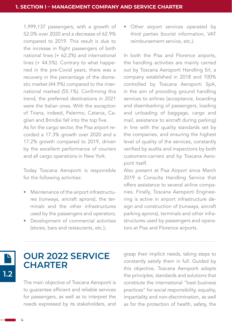1,999,137 passengers, with a growth of 52.0% over 2020 and a decrease of 62.9% compared to 2019. This result is due to the increase in flight passengers of both national lines (+ 62.2%) and international lines (+ 44.5%). Contrary to what happened in the pre-Covid years, there was a recovery in the percentage of the domestic market (44.9%) compared to the international marked (55.1%). Confirming this trend, the preferred destinations in 2021 were the Italian ones. With the exception of Tirana, indeed, Palermo, Catania, Cagliari and Brindisi fall into the top five.

As for the cargo sector, the Pisa airport recorded a 17.3% growth over 2020 and a 17.2% growth compared to 2019, driven by the excellent performance of couriers and all cargo operations in New York.

Today Toscana Aeroporti is responsible for the following activities:

- Maintenance of the airport infrastructures (runways, aircraft aprons), the terminals and the other infrastructures used by the passengers and operators;
- Development of commercial activities (stores, bars and restaurants, etc.);

• Other airport services operated by third parties (tourist information, VAT reimbursement service, etc.).

In both the Pisa and Florence airports, the handling activities are mainly carried out by Toscana Aeroporti Handling Srl, a company established in 2018 and 100% controlled by Toscana Aeroporti SpA, in the aim of providing ground handling services to airlines (acceptance, boarding and disembarking of passengers, loading and unloading of baggage, cargo and mail, assistance to aircraft during parking) in line with the quality standards set by the companies, and ensuring the highest level of quality of the services, constantly verified by audits and inspections by both customers-carriers and by Toscana Aeroporti itself.

Also present at Pisa Airport since March 2019 is Consulta Handling Service that offers assistance to several airline companies. Finally, Toscana Aeroporti Engineering is active in airport infrastructure design and construction of (runways, aircraft parking aprons), terminals and other infrastructures used by passengers and operators at Pisa and Florence airports.

# **OUR 2022 SERVICE CHARTER**

The main objective of Toscana Aeroporti is to guarantee efficient and reliable services for passengers, as well as to interpret the needs expressed by its stakeholders, and

grasp their implicit needs, taking steps to constantly satisfy them in full. Guided by this objective, Toscana Aeroporti adopts the principles, standards and solutions that constitute the international "best business practices" for social responsibility, equality, impartiality and non-discrimination, as well as for the protection of health, safety, the

**1.2**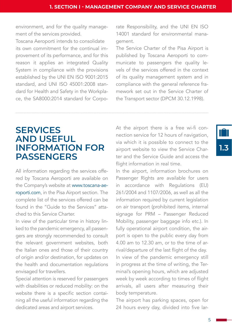environment, and for the quality management of the services provided.

Toscana Aeroporti intends to consolidate its own commitment for the continual improvement of its performance, and for this reason it applies an integrated Quality System in compliance with the provisions established by the UNI EN ISO 9001:2015 standard, and UNI ISO 45001:2008 standard for Health and Safety in the Workplace, the SA8000:2014 standard for Corporate Responsibility, and the UNI EN ISO 14001 standard for environmental management.

The Service Charter of the Pisa Airport is published by Toscana Aeroporti to communicate to passengers the quality levels of the services offered in the context of its quality management system and in compliance with the general reference framework set out in the Service Charter of the Transport sector (DPCM 30.12.1998).

# **SERVICES AND USEFUL INFORMATION FOR PASSENGERS**

All information regarding the services offered by Toscana Aeroporti are available on the Company's website at www.toscana-aeroporti.com, in the Pisa Airport section. The complete list of the services offered can be found in the "Guide to the Services" attached to this Service Charter.

In view of the particular time in history linked to the pandemic emergency, all passengers are strongly recommended to consult the relevant government websites, both the Italian ones and those of their country of origin and/or destination, for updates on the health and documentation regulations envisaged for travellers.

Special attention is reserved for passengers with disabilities or reduced mobility: on the website there is a specific section containing all the useful information regarding the dedicated areas and airport services.

At the airport there is a free wi-fi connection service for 12 hours of navigation, via which it is possible to connect to the airport website to view the Service Charter and the Service Guide and access the flight information in real time.

In the airport, information brochures on Passenger Rights are available for users in accordance with Regulations (EU) 261/2004 and 1107/2006, as well as all the information required by current legislation on air transport (prohibited items, internal signage for PRM – Passenger Reduced Mobility, passenger baggage info etc.). In fully operational airport condition, the airport is open to the public every day from 4.00 am to 12.30 am, or to the time of arrival/departure of the last flight of the day. In view of the pandemic emergency still in progress at the time of writing, the Terminal's opening hours, which are adjusted week by week according to times of flight arrivals, all users after measuring their body temperature.

The airport has parking spaces, open for 24 hours every day, divided into five lar**1.3**

H.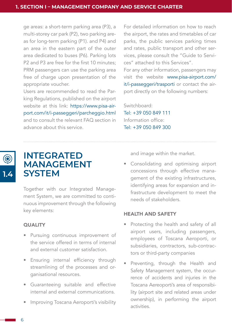ge areas: a short-term parking area (P3), a multi-storey car park (P2), two parking areas for long-term parking (P1). and P4) and an area in the eastern part of the outer area dedicated to buses (P6). Parking lots P<sub>2</sub> and P<sub>3</sub> are free for the first 10 minutes; PRM passengers can use the parking area free of charge upon presentation of the appropriate voucher.

Users are recommended to read the Parking Regulations, published on the airport website at this link: https://www.pisa-airport.com/it/i-passeggeri/parcheggio.html and to consult the relevant FAQ section in advance about this service.

For detailed information on how to reach the airport, the rates and timetables of car parks, the public services parking times and rates, public transport and other services, please consult the "Guide to Services" attached to this Services".

For any other information, passengers may visit the website www.pisa-airport.com/ it/i-passeggeri/trasporti or contact the airport directly on the following numbers:

Switchboard: Tel: +39 050 849 111 Information office: Tel: +39 050 849 300

## **INTEGRATED MANAGEMENT SYSTEM**

Together with our Integrated Management System, we are committed to continuous improvement through the following key elements:

#### **QUALITY**

**1.4**

- Pursuing continuous improvement of the service offered in terms of internal and external customer satisfaction.
- Ensuring internal efficiency through streamlining of the processes and organisational resources.
- Guaranteeing suitable and effective internal and external communications.
- Improving Toscana Aeroporti's visibility

and image within the market.

• Consolidating and optimising airport concessions through effective management of the existing infrastructures, identifying areas for expansion and infrastructure development to meet the needs of stakeholders.

#### HEALTH AND SAFETY

- Protecting the health and safety of all airport users, including passengers, employees of Toscana Aeroporti, or subsidiaries, contractors, sub-contractors or third-party companies
- Preventing, through the Health and Safety Management system, the occurrence of accidents and injuries in the Toscana Aereoporti's area of responsibility (airport site and related areas under ownership), in performing the airport activities.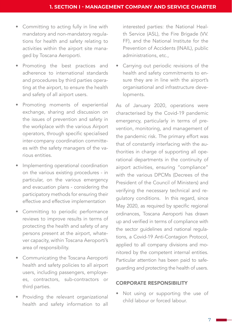- Committing to acting fully in line with mandatory and non-mandatory regulations for health and safety relating to activities within the airport site managed by Toscana Aeroporti.
- Promoting the best practices and adherence to international standards and procedures by third parties operating at the airport, to ensure the health and safety of all airport users.
- Promoting moments of experiential exchange, sharing and discussion on the issues of prevention and safety in the workplace with the various Airport operators, through specific specialised inter-company coordination committees with the safety managers of the various entities.
- Implementing operational coordination on the various existing procedures - in particular, on the various emergency and evacuation plans - considering the participatory methods for ensuring their effective and effective implementation
- Committing to periodic performance reviews to improve results in terms of protecting the health and safety of any persons present at the airport, whatever capacity, within Toscana Aeroporti's area of responsibility.
- Communicating the Toscana Aeroporti health and safety policies to all airport users, including passengers, employees, contractors, sub-contractors or third parties.
- Providing the relevant organizational health and safety information to all

interested parties: the National Health Service (ASL), the Fire Brigade (VV. FF), and the National Institute for the Prevention of Accidents (INAIL), public administrations, etc.,

• Carrying out periodic revisions of the health and safety commitments to ensure they are in line with the airport's organisational and infrastructure developments.

As of January 2020, operations were characterised by the Covid-19 pandemic emergency, particularly in terms of prevention, monitoring, and management of the pandemic risk. The primary effort was that of constantly interfacing with the authorities in charge of supporting all operational departments in the continuity of airport activities, ensuring "compliance" with the various DPCMs (Decrees of the President of the Council of Ministers) and verifying the necessary technical and regulatory conditions. In this regard, since May 2020, as required by specific regional ordinances, Toscana Aeroporti has drawn up and verified in terms of compliance with the sector guidelines and national regulations, a Covid-19 Anti-Contagion Protocol, applied to all company divisions and monitored by the competent internal entities. Particular attention has been paid to safeguarding and protecting the health of users.

#### CORPORATE RESPONSIBILITY

Not using or supporting the use of child labour or forced labour.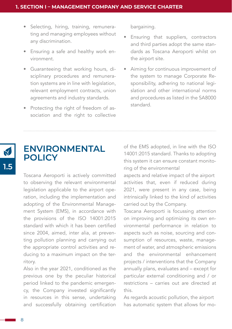- Selecting, hiring, training, remunerating and managing employees without any discrimination.
- Ensuring a safe and healthy work environment.
- Guaranteeing that working hours, disciplinary procedures and remuneration systems are in line with legislation, relevant employment contracts, union agreements and industry standards.
- Protecting the right of freedom of association and the right to collective

bargaining.

- Ensuring that suppliers, contractors and third parties adopt the same standards as Toscana Aeroporti whilst on the airport site.
- Aiming for continuous improvement of the system to manage Corporate Responsibility, adhering to national legislation and other international norms and procedures as listed in the SA8000 standard.



# **ENVIRONMENTAL POLICY**

Toscana Aeroporti is actively committed to observing the relevant environmental legislation applicable to the airport operation, including the implementation and adopting of the Environmental Management System (EMS), in accordance with the provisions of the ISO 14001:2015 standard with which it has been certified since 2004, aimed, inter alia, at preventing pollution planning and carrying out the appropriate control activities and reducing to a maximum impact on the territory.

Also in the year 2021, conditioned as the previous one by the peculiar historical period linked to the pandemic emergency, the Company invested significantly in resources in this sense, undertaking and successfully obtaining certification of the EMS adopted, in line with the ISO 14001:2015 standard. Thanks to adopting this system it can ensure constant monitoring of the environmental

aspects and relative impact of the airport activities that, even if reduced during 2021, were present in any case, being intrinsically linked to the kind of activities carried out by the Company.

Toscana Aeroporti is focussing attention on improving and optimizing its own environmental performance in relation to aspects such as noise, sourcing and consumption of resources, waste, management of water, and atmospheric emissions and the environmental enhancement projects / interventions that the Company annually plans, evaluates and – except for particular external conditioning and / or restrictions – carries out are directed at this.

As regards acoustic pollution, the airport has automatic system that allows for mo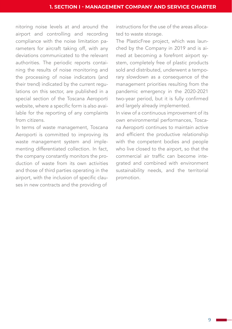nitoring noise levels at and around the airport and controlling and recording compliance with the noise limitation parameters for aircraft taking off, with any deviations communicated to the relevant authorities. The periodic reports containing the results of noise monitoring and the processing of noise indicators (and their trend) indicated by the current regulations on this sector, are published in a special section of the Toscana Aeroporti website, where a specific form is also available for the reporting of any complaints from citizens.

In terms of waste management, Toscana Aeroporti is committed to improving its waste management system and implementing differentiated collection. In fact, the company constantly monitors the production of waste from its own activities and those of third parties operating in the airport, with the inclusion of specific clauses in new contracts and the providing of

instructions for the use of the areas allocated to waste storage.

The PlasticFree project, which was launched by the Company in 2019 and is aimed at becoming a forefront airport system, completely free of plastic products sold and distributed, underwent a temporary slowdown as a consequence of the management priorities resulting from the pandemic emergency in the 2020-2021 two-year period, but it is fully confirmed and largely already implemented.

In view of a continuous improvement of its own environmental performances, Toscana Aeroporti continues to maintain active and efficient the productive relationship with the competent bodies and people who live closed to the airport, so that the commercial air traffic can become integrated and combined with environment sustainability needs, and the territorial promotion.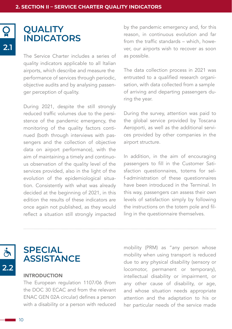# **QUALITY INDICATORS**

The Service Charter includes a series of quality indicators applicable to all Italian airports, which describe and measure the performance of services through periodic, objective audits and by analysing passenger perception of quality.

During 2021, despite the still strongly reduced traffic volumes due to the persistence of the pandemic emergency, the monitoring of the quality factors continued (both through interviews with passengers and the collection of objective data on airport performance), with the aim of maintaining a timely and continuous observation of the quality level of the services provided, also in the light of the evolution of the epidemiological situation. Consistently with what was already decided at the beginning of 2021, in this edition the results of these indicators are once again not published, as they would reflect a situation still strongly impacted

by the pandemic emergency and, for this reason, in continuous evolution and far from the traffic standards – which, however, our airports wish to recover as soon as possible.

The data collection process in 2021 was entrusted to a qualified research organisation, with data collected from a sample of arriving and departing passengers during the year.

During the survey, attention was paid to the global service provided by Toscana Aeroporti, as well as the additional services provided by other companies in the airport structure.

In addition, in the aim of encouraging passengers to fill in the Customer Satisfaction questionnaires, totems for self-administration of these questionnaires have been introduced in the Terminal. In this way, passengers can assess their own levels of satisfaction simply by following the instructions on the totem pole and filling in the questionnaire themselves.

**2.2**

**2.1**

# **SPECIAL ASSISTANCE**

#### INTRODUCTION

The European regulation 1107/06 (from the DOC 30 ECAC and from the relevant ENAC GEN 02A circular) defines a person with a disability or a person with reduced

mobility (PRM) as "any person whose mobility when using transport is reduced due to any physical disability (sensory or locomotor, permanent or temporary), intellectual disability or impairment, or any other cause of disability, or age, and whose situation needs appropriate attention and the adaptation to his or her particular needs of the service made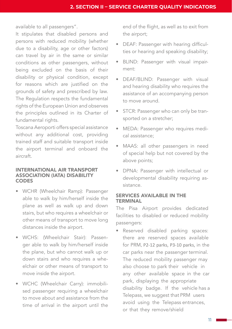available to all passengers".

It stipulates that disabled persons and persons with reduced mobility (whether due to a disability, age or other factors) can travel by air in the same or similar conditions as other passengers, without being excluded on the basis of their disability or physical condition, except for reasons which are justified on the grounds of safety and prescribed by law. The Regulation respects the fundamental rights of the European Union and observes the principles outlined in its Charter of fundamental rights.

Toscana Aeroporti offers special assistance without any additional cost, providing trained staff and suitable transport inside the airport terminal and onboard the aircraft.

#### INTERNATIONAL AIR TRANSPORT ASSOCIATION (IATA) DISABILITY **CODES**

- WCHR (Wheelchair Ramp): Passenger able to walk by him/herself inside the plane as well as walk up and down stairs, but who requires a wheelchair or other means of transport to move long distances inside the airport.
- WCHS: (Wheelchair Stair): Passenger able to walk by him/herself inside the plane, but who cannot walk up or down stairs and who requires a wheelchair or other means of transport to move inside the airport.
- WCHC (Wheelchair Carry): immobilised passenger requiring a wheelchair to move about and assistance from the time of arrival in the airport until the

end of the flight, as well as to exit from the airport;

- DEAF: Passenger with hearing difficulties or hearing and speaking disability;
- BLIND: Passenger with visual impairment:
- DEAF/BLIND: Passenger with visual and hearing disability who requires the assistance of an accompanying person to move around.
- STCR: Passenger who can only be transported on a stretcher;
- MEDA: Passenger who requires medical assistance;
- MAAS: all other passengers in need of special help but not covered by the above points;
- DPNA: Passenger with intellectual or developmental disability requiring assistance.

#### SERVICES AVAILABLE IN THE TERMINAL

The Pisa Airport provides dedicated facilities to disabled or reduced mobility passengers:

• Reserved disabled parking spaces: there are reserved spaces available for PRM, P2-12 parks, P3-10 parks, in the car parks near the passenger terminal. The reduced mobility passenger may also choose to park their vehicle in any other available space in the car park, displaying the appropriate disability badge. If the vehicle has a Telepass, we suggest that PRM users avoid using the Telepass entrances, or that they remove/shield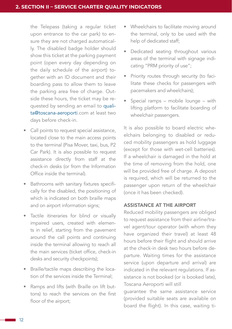the Telepass (taking a regular ticket upon entrance to the car park) to ensure they are not charged automatically. The disabled badge holder should show this ticket at the parking payment point (open every day depending on the daily schedule of the airport) together with an ID document and their boarding pass to allow them to leave the parking area free of charge. Outside these hours, the ticket may be requested by sending an email to qualita@toscana-aeroporti.com at least two days before check-in.

- Call points to request special assistance, located close to the main access points to the terminal (Pisa Mover, taxi, bus, P2 Car Park). It is also possible to request assistance directly from staff at the check-in desks (or from the Information Office inside the terminal).
- Bathrooms with sanitary fixtures specifically for the disabled, the positioning of which is indicated on both braille maps and on airport information signs;
- Tactile itineraries for blind or visually impaired users, created with elements in relief, starting from the pavement around the call points and continuing inside the terminal allowing to reach all the main services (ticket office, check-in desks and security checkpoints);
- Braille/tactile maps describing the location of the services inside the Terminal;
- Ramps and lifts (with Braille on lift buttons) to reach the services on the first floor of the airport;
- Wheelchairs to facilitate moving around the terminal, only to be used with the help of dedicated staff;
- Dedicated seating throughout various areas of the terminal with signage indicating "PRM priority of use";
- Priority routes through security (to facilitate these checks for passengers with pacemakers and wheelchairs);
- Special ramps mobile lounge with lifting platform to facilitate boarding of wheelchair passengers.

It is also possible to board electric wheelchairs belonging to disabled or reduced mobility passengers as hold luggage (except for those with wet-cell batteries). If a wheelchair is damaged in the hold at the time of removing from the hold, one will be provided free of charge. A deposit is required, which will be returned to the passenger upon return of the wheelchair (once it has been checked).

#### ASSISTANCE AT THE AIRPORT

Reduced mobility passengers are obliged to request assistance from their airline/travel agent/tour operator (with whom they have organized their travel) at least 48 hours before their flight and should arrive at the check-in desk two hours before departure. Waiting times for the assistance service (upon departure and arrival) are indicated in the relevant regulations. If assistance is not booked (or is booked late), Toscana Aeroporti will still

guarantee the same assistance service (provided suitable seats are available on board the flight). In this case, waiting ti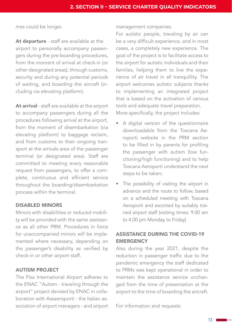mes could be longer.

At departure - staff are available at the airport to personally accompany passengers during the pre-boarding procedures, from the moment of arrival at check-in (or other designated areas), through customs, security and during any potential periods of waiting, and boarding the aircraft (including via elevating platform).

At arrival - staff are available at the airport to accompany passengers during all the procedures following arrival at the airport, from the moment of disembarkation (via elevating platform) to baggage reclaim, and from customs to their ongoing transport at the arrivals area of the passenger terminal (or designated area). Staff are committed to meeting every reasonable request from passengers, to offer a complete, continuous and efficient service throughout the boarding/disembarkation process within the terminal.

#### DISABLED MINORS

Minors with disabilities or reduced mobility will be provided with the same assistance as all other PRM. Procedures in force for unaccompanied minors will be implemented where necessary, depending on the passenger's disability as verified by check-in or other airport staff.

#### AUTISM PROJECT

The Pisa International Airport adheres to the ENAC "Autism - traveling through the airport" project devised by ENAC in collaboration with Assaeroporti - the Italian association of airport managers - and airport management companies.

For autistic people, traveling by air can be a very difficult experience, and in most cases, a completely new experience. The goal of the project is to facilitate access to the airport for autistic individuals and their families, helping them to live the experience of air travel in all tranquillity. The airport welcomes autistic subjects thanks to implementing an integrated project that is based on the activation of various tools and adequate travel preparation. More specifically, the project includes:

- A digital version of the questionnaire downloadable from the Toscana Aeroporti website in the PRM section to be filled in by parents for profiling the passenger with autism (low functioning/high functioning) and to help Toscana Aeroporti understand the next steps to be taken;
- The possibility of visiting the airport in advance and the route to follow, based on a scheduled meeting with Toscana Aeroporti and escorted by suitably trained airport staff (visiting times: 9.00 am to 4.00 pm Monday to Friday)

### ASSISTANCE DURING THE COVID-19 **EMERGENCY**

Also during the year 2021, despite the reduction in passenger traffic due to the pandemic emergency the staff dedicated to PRMs was kept operational in order to maintain the assistance service unchanged from the time of presentation at the airport to the time of boarding the aircraft.

For information and requests: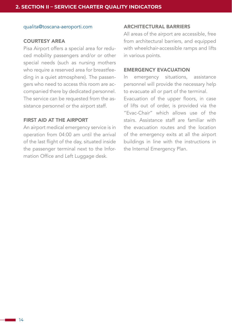#### qualita@toscana-aeroporti.com

#### COURTESY AREA

Pisa Airport offers a special area for reduced mobility passengers and/or or other special needs (such as nursing mothers who require a reserved area for breastfeeding in a quiet atmosphere). The passengers who need to access this room are accompanied there by dedicated personnel. The service can be requested from the assistance personnel or the airport staff.

#### FIRST AID AT THE AIRPORT

An airport medical emergency service is in operation from 04:00 am until the arrival of the last flight of the day, situated inside the passenger terminal next to the Information Office and Left Luggage desk.

#### ARCHITECTURAL BARRIERS

All areas of the airport are accessible, free from architectural barriers, and equipped with wheelchair-accessible ramps and lifts in various points.

#### EMERGENCY EVACUATION

In emergency situations, assistance personnel will provide the necessary help to evacuate all or part of the terminal.

Evacuation of the upper floors, in case of lifts out of order, is provided via the "Evac-Chair" which allows use of the stairs. Assistance staff are familiar with the evacuation routes and the location of the emergency exits at all the airport buildings in line with the instructions in the Internal Emergency Plan.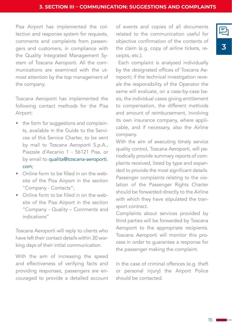Pisa Airport has implemented the collection and response system for requests, comments and complaints from passengers and customers, in compliance with the Quality Integrated Management System of Toscana Aeroporti. All the communications are examined with the utmost attention by the top management of the company.

Toscana Aeroporti has implemented the following contact methods for the Pisa Airport:

- the form for suggestions and complaints, available in the Guide to the Services of this Service Charter, to be sent by mail to Toscana Aeroporti S.p.A., Piazzale d'Ascanio 1 - 56121 Pisa, or by email to qualita@toscana-aeroporti. com;
- Online form to be filled in on the website of the Pisa Airport in the section "Company - Contacts";
- Online form to be filled in on the website of the Pisa Airport in the section "Company - Quality – Comments and indications"

Toscana Aeroporti will reply to clients who have left their contact details within 30 working days of their initial communication.

With the aim of increasing the speed and effectiveness of verifying facts and providing responses, passengers are encouraged to provide a detailed account

of events and copies of all documents related to the communication useful for objective confirmation of the contents of the claim (e.g. copy of airline tickets, receipts, etc.).

**3**

巨

 Each complaint is analysed individually by the designated offices of Toscana Aeroporti; if the technical investigation reveals the responsibility of the Operator the same will evaluate, on a case-by-case basis, the individual cases giving entitlement to compensation, the different methods and amount of reimbursement, involving its own insurance company, where applicable, and if necessary, also the Airline company.

With the aim of executing timely service quality control, Toscana Aeroporti, will periodically provide summary reports of complaints received, listed by type and expanded to provide the most significant details. Passenger complaints relating to the violation of the Passenger Rights Charter should be forwarded directly to the Airline with which they have stipulated the transport contract.

Complaints about services provided by third parties will be forwarded by Toscana Aeroporti to the appropriate recipients. Toscana Aeroporti will monitor this process in order to guarantee a response for the passenger making the complaint.

In the case of criminal offences (e.g. theft or personal injury) the Airport Police should be contacted.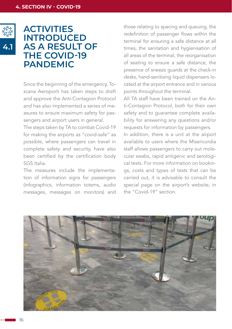

# **ACTIVITIES INTRODUCED AS A RESULT OF THE COVID-19 PANDEMIC**

Since the beginning of the emergency, Toscana Aeroporti has taken steps to draft and approve the Anti-Contagion Protocol and has also implemented a series of measures to ensure maximum safety for passengers and airport users in general.

The steps taken by TA to combat Covid-19 for making the airports as "covid-safe" as possible, where passengers can travel in complete safety and security, have also been certified by the certification body SGS Italia.

The measures include the implementation of information signs for passengers (infographics, information totems, audio messages, messages on monitors) and

those relating to spacing and queuing, the redefinition of passenger flows within the terminal for ensuring a safe distance at all times, the sanitation and hygienisation of all areas of the terminal, the reorganisation of seating to ensure a safe distance, the presence of sneeze guards at the check-in desks, hand-sanitising liquid dispensers located at the airport entrance and in various points throughout the terminal.

All TA staff have been trained on the Anti-Contagion Protocol, both for their own safety and to guarantee complete availability for answering any questions and/or requests for information by passengers.

In addition, there is a unit at the airport available to users where the Misericordia staff allows passengers to carry out molecular swabs, rapid antigenic and serological tests. For more information on bookings, costs and types of tests that can be carried out, it is advisable to consult the special page on the airport's website, in the "Covid-19" section.

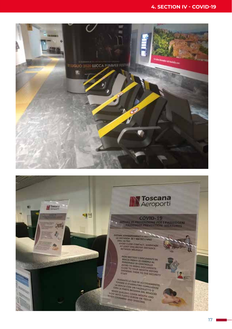

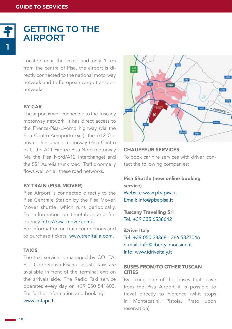# **GETTING TO THE AIRPORT**

Located near the coast and only 1 km from the centre of Pisa, the airport is directly connected to the national motorway network and to European cargo transport networks.

#### BY CAR

**1**

The airport is well connected to the Tuscany motorway network. It has direct access to the Firenze-Pisa-Livorno highway (via the Pisa Centro-Aeroporto exit), the A12 Genova – Rosignano motorway (Pisa Centro exit), the A11 Firenze-Pisa Nord motorway (via the Pisa Nord/A12 interchange) and the SS1 Aurelia trunk road. Traffic normally flows well on all these road networks.

#### BY TRAIN (PISA MOVER)

Pisa Airport is connected directly to the Pisa Centrale Station by the Pisa Mover. Mover shuttle, which runs periodically. For information on timetables and frequency http://pisa-mover.com/.

For information on train connections and to purchase tickets: www.trenitalia.com.

#### **TAXIS**

The taxi service is managed by CO. TA. PI. - Cooperativa Pisana Tassisti. Taxis are available in front of the terminal exit on the arrivals side. The Radio Taxi service operates every day on +39 050 541600. For further information and booking:

www.cotapi.it



#### CHAUFFEUR SERVICES

To book car hire services with driver, contact the following companies:

Pisa Shuttle (new online booking service) Website www.pbapisa.it Email: info@pbapisa.it

Tuscany Travelling Srl Tel.:+39 335 6538642

iDrive Italy Tel. +39 050 28368 - 366 5827046 e-mail: info@libertylimousine.it Info: www.idriveitaly.it

#### BUSES FROM/TO OTHER TUSCAN **CITIES**

By taking one of the buses that leave from the Pisa Airport it is possible to travel directly to Florence (whit stops in Montecatini, Pistoia, Prato upon reservation).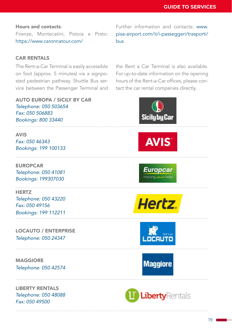Hours and contacts: Firenze, Montecatini, Pistoia e Prato:

https://www.caronnatour.com/

### CAR RENTALS

The Rent-a-Car Terminal is easily accessible on foot (approx. 5 minutes) via a signposted pedestrian pathway. Shuttle Bus service between the Passenger Terminal and

AUTO EUROPA / SICILY BY CAR *Telephone: 050 503654 Fax: 050 506883 Bookings: 800 33440*

AVIS *Fax: 050 46343 Bookings: 199 100133*

EUROPCAR *Telephone: 050 41081 Bookings: 199307030*

**HERTZ** *Telephone: 050 43220 Fax: 050 49156 Bookings: 199 112211*

LOCAUTO / ENTERPRISE *Telephone: 050 24347*

MAGGIORE *Telephone: 050 42574*

LIBERTY RENTALS *Telephone: 050 48088 Fax: 050 49500*

Further information and contacts: www. pisa-airport.com/it/i-passeggeri/trasporti/ bus

the Rent a Car Terminal is also available. For up-to-date information on the opening hours of the Rent-a-Car offices, please contact the car rental companies directly.

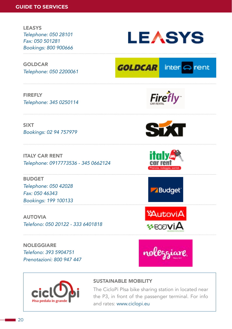LEASYS *Telephone: 050 28101 Fax: 050 501281 Bookings: 800 900666*

**GOLDCAR** *Telephone: 050 2200061* **LEASYS** 



**GOLDCAR** 

inter  $\bigcirc$  rent

SIXT

*Telephone: 345 0250114*

FIREFLY

*Bookings: 02 94 757979*

ITALY CAR RENT *Telephone: 0917773536 - 345 0662124*

BUDGET *Telephone: 050 42028 Fax: 050 46343 Bookings: 199 100133*

AUTOVIA *Telefono: 050 20122 - 333 6401818* 

**NOLEGGIARE** *Telefono: 393 5904751 Prenotazioni: 800 947 447*













#### SUSTAINABLE MOBILITY

The CicloPi PIsa bike sharing station in located near the P3, in front of the passenger terminal. For info and rates: www.ciclopi.eu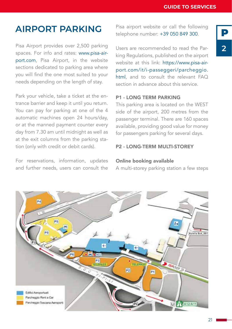# **AIRPORT PARKING**

Pisa Airport provides over 2,500 parking spaces. For info and rates: www.pisa-airport.com, Pisa Airport, in the website sections dedicated to parking area where you will find the one most suited to your needs depending on the length of stay.

Park your vehicle, take a ticket at the entrance barrier and keep it until you return. You can pay for parking at one of the 4 automatic machines open 24 hours/day, or at the manned payment counter every day from 7.30 am until midnight as well as at the exit columns from the parking station (only with credit or debit cards).

For reservations, information, updates and further needs, users can consult the Pisa airport website or call the following telephone number: +39 050 849 300.

Users are recommended to read the Parking Regulations, published on the airport website at this link: https://www.pisa-airport.com/it/i-passeggeri/parcheggio. html, and to consult the relevant FAQ section in advance about this service.

### P1 - LONG TERM PARKING

This parking area is located on the WEST side of the airport, 200 metres from the passenger terminal. There are 160 spaces available, providing good value for money for passengers parking for several days.

#### P2 - LONG-TERM MULTI-STOREY

#### Online booking available

A multi-storey parking station a few steps

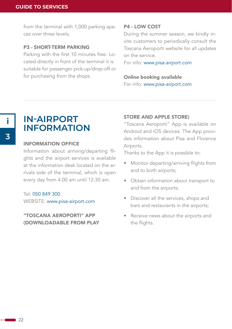from the terminal with 1,000 parking spaces over three levels.

#### P3 - SHORT-TERM PARKING

Parking with the first 10 minutes free. Located directly in front of the terminal it is suitable for passenger pick-up/drop-off or for purchasing from the shops.

#### P4 - LOW COST

During the summer season, we kindly invite customers to periodically consult the Toscana Aeroporti website for all updates on the service.

For info: www.pisa-airport.com

Online booking available For info: www.pisa-airport.com

# **IN-AIRPORT INFORMATION**

#### INFORMATION OFFICE

Information about arriving/departing flights and the airport services is available at the information desk located on the arrivals side of the terminal, which is open every day from 4.00 am until 12.30 am.

Tel: 050 849 300. WEBSITE: www.pisa-airport.com

"TOSCANA AEROPORTI" APP (DOWNLOADABLE FROM PLAY

#### STORE AND APPLE STORE)

"Toscana Aeroporti" App is available on Android and iOS devices. The App provides information about Pisa and Florence Airports.

Thanks to the App it is possible to:

- Monitor departing/arriving flights from and to both airports;
- Obtain information about transport to and from the airports;
- Discover all the services, shops and bars and restaurants in the airports;
- Receive news about the airports and the flights.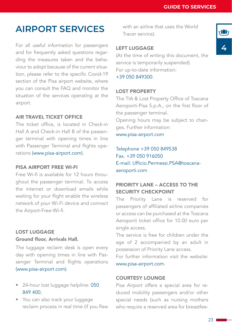# **AIRPORT SERVICES**

For all useful information for passengers and for frequently asked questions regarding the measures taken and the behaviour to adopt because of the current situation, please refer to the specific Covid-19 section of the Pisa airport website, where you can consult the FAQ and monitor the situation of the services operating at the airport.

#### AIR TRAVEL TICKET OFFICE

The ticket office, is located in Check-in Hall A and Check-in Hall B of the passenger terminal with opening times in line with Passenger Terminal and flights operations (www.pisa-airport.com).

#### PISA AIRPORT FREE WI-FI

Free Wi-fi is available for 12 hours throughout the passenger terminal. To access the internet or download emails while waiting for your flight enable the wireless network of your Wi-Fi device and connect the Airport-Free-Wi-fi.

### LOST LUGGAGE Ground floor, Arrivals Hall.

The luggage reclaim desk is open every day with opening times in line with Passenger Terminal and flights operations (www.pisa-airport.com).

- 24-hour lost luggage helpline: 050 849 400;
- You can also track your luggage reclaim process in real time (if you flew

with an airline that uses the World Tracer service).

#### LEFT LUGGAGE

(At the time of writing this document, the service is temporarily suspended). For up-to-date information: +39 050 849300.

#### LOST PROPERTY

The TIA & Lost Property Office of Toscana Aeroporti-Pisa S.p.A., on the first floor of the passenger terminal.

Opening hours may be subject to changes. Further information:

www.pisa-airport.com

### Telephone +39 050 849538 Fax. +39 050 916050 E-mail: Ufficio.Permessi.PSA@toscanaaeroporti.com

### PRIORITY LANE – ACCESS TO THE SECURITY CHECKPOINT

The Priority Lane is reserved for passengers of affiliated airline companies or access can be purchased at the Toscana Aeroporti ticket office for 10.00 euro per single access.

The service is free for children under the age of 2 accompanied by an adult in possession of Priority Lane access.

For further information visit the website: www.pisa-airport.com.

#### COURTESY LOUNGE

Pisa Airport offers a special area for reduced mobility passengers and/or other special needs (such as nursing mothers who require a reserved area for breastfeeر اگا ہ **4**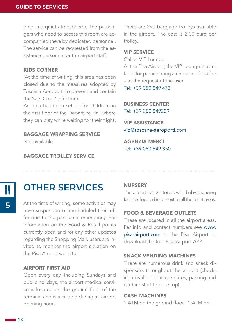ding in a quiet atmosphere). The passengers who need to access this room are accompanied there by dedicated personnel. The service can be requested from the assistance personnel or the airport staff.

#### KIDS CORNER

(At the time of writing, this area has been closed due to the measures adopted by Toscana Aeroporti to prevent and contain the Sars-Cov-2 infection).

An area has been set up for children on the first floor of the Departure Hall where they can play while waiting for their flight.

### BAGGAGE WRAPPING SERVICE

Not available

#### BAGGAGE TROLLEY SERVICE

There are 290 baggage trolleys available in the airport. The cost is 2.00 euro per trolley.

#### VIP SERVICE

Galilei VIP Lounge At the Pisa Airport, the VIP Lounge is available for participating airlines or – for a fee – at the request of the user.

Tel: +39 050 849 473

BUSINESS CENTER Tel: +39 050 849209

VIP ASSISTANCE vip@toscana-aeroporti.com

AGENZIA MERCI Tel: +39 050 849 350

# **OTHER SERVICES**

At the time of writing, some activities may have suspended or rescheduled their offer due to the pandemic emergency. For information on the Food & Retail points currently open and for any other updates regarding the Shopping Mall, users are invited to monitor the airport situation on the Pisa Airport website

#### AIRPORT FIRST AID

Open every day, including Sundays and public holidays, the airport medical service is located on the ground floor of the terminal and is available during all airport opening hours.

#### **NURSERY**

The airport has 21 toilets with baby-changing facilities located in or next to all the toilet areas.

#### FOOD & BEVERAGE OUTLETS

These are located in all the airport areas. Per info and contact numbers see www. pisa-airport.com in the Pisa Airport or download the free Pisa Airport APP.

#### SNACK VENDING MACHINES

There are numerous drink and snack dispensers throughout the airport (checkin, arrivals, departure gates, parking and car hire shuttle bus stop).

#### CASH MACHINES

1 ATM on the ground floor, 1 ATM on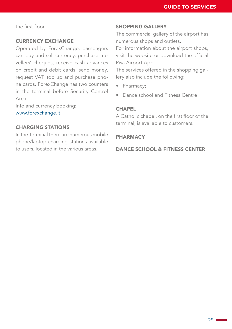the first floor.

### CURRENCY EXCHANGE

Operated by ForexChange, passengers can buy and sell currency, purchase travellers' cheques, receive cash advances on credit and debit cards, send money, request VAT, top up and purchase phone cards. ForexChange has two counters in the terminal before Security Control Area.

Info and currency booking: www.forexchange.it

### CHARGING STATIONS

In the Terminal there are numerous mobile phone/laptop charging stations available to users, located in the various areas.

#### SHOPPING GALLERY

The commercial gallery of the airport has numerous shops and outlets.

For information about the airport shops, visit the website or download the official Pisa Airport App.

The services offered in the shopping gallery also include the following:

- Pharmacy;
- Dance school and Fitness Centre

### **CHAPEL**

A Catholic chapel, on the first floor of the terminal, is available to customers.

### **PHARMACY**

### DANCE SCHOOL & FITNESS CENTER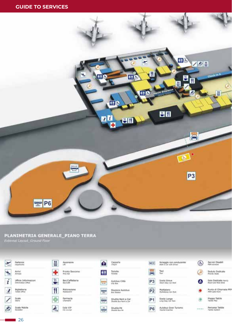

### PLANIMETRIA GENERALE\_PIANO TERRA

| Partenzic<br>Peleturus                       |
|----------------------------------------------|
| in in<br>Augit                               |
| umicio Infor<br>Information Of<br>10<br>- 19 |
| Digital<br>Taskar<br>dberja 1                |
| Scale<br>Stair                               |
| 51                                           |

| Asconsore<br><b>DR</b>              |
|-------------------------------------|
| Pronto Seccorse<br>Antaŭ            |
| Bar/Caffetteria<br><b>Becclient</b> |
| Ristorazione<br>fiestburght         |
| Farmacia<br>Overesti                |
| Sala VI<br>19 Alim                  |
|                                     |

|       | Cappella<br>Ownel            |
|-------|------------------------------|
| $+12$ | Tailett<br>Toiette           |
|       | Autobus Città<br>Dir An      |
|       | Stazione Autobi<br>An Instin |
| and a |                              |
|       |                              |

|                | NCC Noleggio con conducente                    |
|----------------|------------------------------------------------|
|                | T <sub>ext</sub>                               |
| P <sub>3</sub> | Senta Brave<br>by Car Fam                      |
| $\widehat{P2}$ | Multiplano<br>Multipley Cat Park               |
| P <sub>1</sub> | Sosta Lunga<br>Ling Stev Car Perk              |
| P6             | Autobus Gran Turismo<br><b>Fourier Coaches</b> |
|                |                                                |

|    | Servisi Disabili                          |
|----|-------------------------------------------|
|    | Sedute Dedicate                           |
| ò) | Sala Dedicata Awriv<br>Also and first Ame |
|    | Punto-di Chiamata PRI<br>MPI Calli Ford   |
| ۰  | Mappa Tattile<br>Tachie Map               |
|    | Percorso Tattile                          |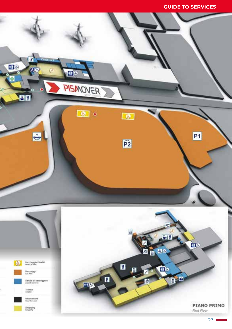### **GUIDE TO SERVICES**

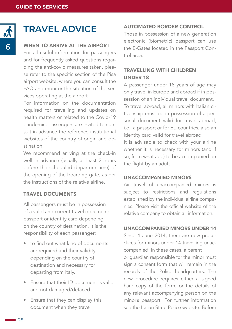# **TRAVEL ADVICE**

#### WHEN TO ARRIVE AT THE AIRPORT

For all useful information for passengers and for frequently asked questions regarding the anti-covid measures taken, please refer to the specific section of the Pisa airport website, where you can consult the FAQ and monitor the situation of the services operating at the airport.

For information on the documentation required for travelling and updates on health matters or related to the Covid-19 pandemic, passengers are invited to consult in advance the reference institutional websites of the country of origin and destination.

We recommend arriving at the check-in well in advance (usually at least 2 hours before the scheduled departure time) of the opening of the boarding gate, as per the instructions of the relative airline.

#### TRAVEL DOCUMENTS

All passengers must be in possession of a valid and current travel document: passport or identity card depending on the country of destination. It is the responsibility of each passenger:

- to find out what kind of documents are required and their validity depending on the country of destination and necessary for departing from Italy.
- Ensure that their ID document is valid and not damaged/defaced
- Ensure that they can display this document when they travel

#### AUTOMATED BORDER CONTROL

Those in possession of a new generation electronic (biometric) passport can use the E-Gates located in the Passport Control area.

### TRAVELLING WITH CHILDREN UNDER 18

A passenger under 18 years of age may only travel in Europe and abroad if in possession of an individual travel document. To travel abroad, all minors with Italian citizenship must be in possession of a personal document valid for travel abroad, i.e., a passport or for EU countries, also an identity card valid for travel abroad.

It is advisable to check with your airline whether it is necessary for minors (and if so, from what age) to be accompanied on the flight by an adult

#### UNACCOMPANIED MINORS

Air travel of unaccompanied minors is subject to restrictions and regulations established by the individual airline companies. Please visit the official website of the relative company to obtain all information.

#### UNACCOMPANIED MINORS UNDER 14

Since 4 June 2014, there are new procedures for minors under 14 travelling unaccompanied. In these cases, a parent or guardian responsible for the minor must sign a consent form that will remain in the records of the Police headquarters. The new procedure requires either a signed hard copy of the form, or the details of any relevant accompanying person on the minor's passport. For further information see the Italian State Police website. Before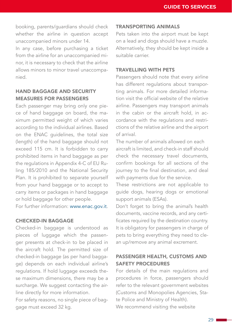booking, parents/guardians should check whether the airline in question accept unaccompanied minors under 14.

In any case, before purchasing a ticket from the airline for an unaccompanied minor, it is necessary to check that the airline allows minors to minor travel unaccompanied.

### HAND BAGGAGE AND SECURITY MEASURES FOR PASSENGERS

Each passenger may bring only one piece of hand baggage on board, the maximum permitted weight of which varies according to the individual airlines. Based on the ENAC guidelines, the total size (length) of the hand baggage should not exceed 115 cm. It is forbidden to carry prohibited items in hand baggage as per the regulations in Appendix 4-C of EU Ruling 185/2010 and the National Security Plan. It is prohibited to separate yourself from your hand baggage or to accept to carry items or packages in hand baggage or hold baggage for other people.

For further information: www.enac.gov.it.

#### CHECKED-IN BAGGAGE

Checked-in baggage is understood as pieces of luggage which the passenger presents at check-in to be placed in the aircraft hold. The permitted size of checked-in baggage (as per hand baggage) depends on each individual airline's regulations. If hold luggage exceeds these maximum dimensions, there may be a surcharge. We suggest contacting the airline directly for more information.

For safety reasons, no single piece of baggage must exceed 32 kg.

#### TRANSPORTING ANIMALS

Pets taken into the airport must be kept on a lead and dogs should have a muzzle. Alternatively, they should be kept inside a suitable carrier.

#### TRAVELLING WITH PETS

Passengers should note that every airline has different regulations about transporting animals. For more detailed information visit the official website of the relative airline. Passengers may transport animals in the cabin or the aircraft hold, in accordance with the regulations and restrictions of the relative airline and the airport of arrival.

The number of animals allowed on each aircraft is limited, and check-in staff should check the necessary travel documents, confirm bookings for all sections of the journey to the final destination, and deal with payments due for the service.

These restrictions are not applicable to guide dogs, hearing dogs or emotional support animals (ESAs).

Don't forget to bring the animal's health documents, vaccine records, and any certificates required by the destination country. It is obligatory for passengers in charge of pets to bring everything they need to clean up/remove any animal excrement.

### PASSENGER HEALTH, CUSTOMS AND SAFETY PROCEDURES

For details of the main regulations and procedures in force, passengers should refer to the relevant government websites (Customs and Monopolies Agencies, State Police and Ministry of Health). We recommend visiting the website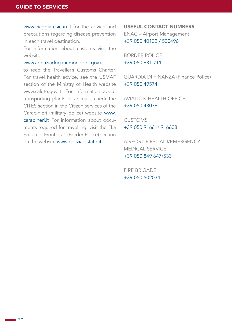www.viaggiaresicuri.it for the advice and precautions regarding disease prevention in each travel destination.

For information about customs visit the website

#### www.agenziadoganemonopoli.gov.it

to read the Traveller's Customs Charter. For travel health advice, see the USMAF section of the Ministry of Health website www.salute.gov.it. For information about transporting plants or animals, check the CITES section in the Citizen services of the Carabinieri (military police) website www. carabineri.it For information about documents required for travelling, visit the "La Polizia di Frontiera" (Border Police) section on the website www.poliziadistato.it.

USEFUL CONTACT NUMBERS ENAC – Airport Management +39 050 40132 / 500496

BORDER POLICE +39 050 931 711

GUARDIA DI FINANZA (Finance Police) +39 050 49574

AVIATION HEALTH OFFICE +39 050 43076

CUSTOMS +39 050 91661/ 916608

AIRPORT FIRST AID/EMERGENCY MEDICAL SERVICE +39 050 849 647/533

FIRE BRIGADE +39 050 502034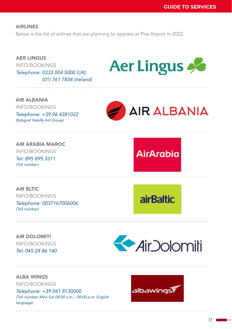AIRLINES

Below is the list of airlines that are planning to operate at Pisa Airport in 2022.

AER LINGUS INFO/BOOKINGS *Telephone: 0333 004 5000 (UK) (01) 761 7834 (Ireland)*



**AIR ALBANIA** INFO/BOOKINGS *Telephone: +39 06 4381022* (Edograf Helpfly Intl Group)

**AIR ALBANIA** 

AIR ARABIA MAROC INFO/BOOKINGS *Tel: 895 895 3311 (Toll number)*

**AirArabia** 

AIR BLTIC INFO/BOOKINGS *Telephone: 0037167006006* 

*(Toll number)*

**airBaltic** 

AIR DOLOMITI INFO/BOOKINGS *Tel: 045 28 86 140*



**ALBA WINGS** 

INFO/BOOKINGS

*Telephone: +39 041 8130000 (Toll number. Mon-Sat 08:00 a.m. - 08:00 p.m. English language)*

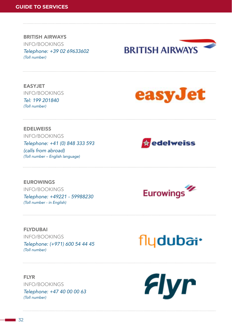BRITISH AIRWAYS INFO/BOOKINGS *Telephone: +39 02 69633602 (Toll number)*

**BRITISH AIRWAYS** 

EASYJET INFO/BOOKINGS *Tel: 199 201840 (Toll number)*

easyJet

EDELWEISS INFO/BOOKINGS *Telephone: +41 (0) 848 333 593 (calls from abroad) (Toll number – English language)*

EUROWINGS INFO/BOOKINGS *Telephone: +49221 - 59988230*

*(Toll number - in English)*

FLYDUBAI INFO/BOOKINGS *Telephone: (+971) 600 54 44 45 (Toll number)*

FLYR INFO/BOOKINGS

*Telephone: +47 40 00 00 63 (Toll number)*





flydubai<sup>.</sup>

Flyr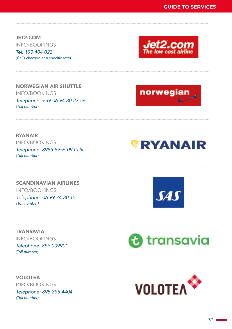JET2.COM INFO/BOOKINGS *Tel: 199 404 023* (Calls charged at a specific rate)



NORWEGIAN AIR SHUTTLE INFO/BOOKINGS *Telephone: +39 06 94 80 27 56 (Toll number)*



*<b>WRYANAIR* 

RYANAIR INFO/BOOKINGS

*Telephone: 8955 8955 09 Italia (Toll number)*

SCANDINAVIAN AIRLINES INFO/BOOKINGS

*Telephone: 06 99 74 80 15 (Toll number)*

**TRANSAVIA** INFO/BOOKINGS

*Telephone: 899 009901 (Toll number)*



**SAS** 

VOLOTEA INFO/BOOKINGS

*Telephone: 895 895 4404 (Toll number)*

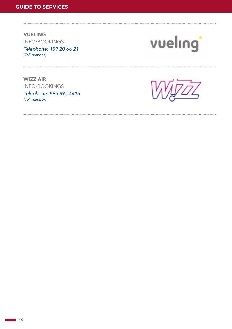VUELING INFO/BOOKINGS

*Telephone: 199 20 66 21 (Toll number)*

WIZZ AIR INFO/BOOKINGS *Telephone: 895 895 4416 (Toll number)*



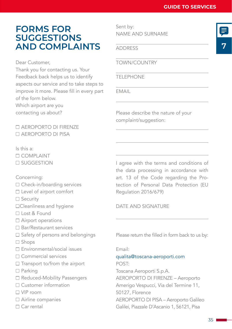# **FORMS FOR SUGGESTIONS AND COMPLAINTS**

Dear Customer,

Thank you for contacting us. Your Feedback back helps us to identify aspects our service and to take steps to improve it more. Please fill in every part of the form below.

Which airport are you contacting us about?

 AEROPORTO DI FIRENZE AEROPORTO DI PISA

Is this a: COMPLAINT SUGGESTION

Concerning:

□ Check-in/boarding services

□ Level of airport comfort

 $\square$  Security

□Cleanliness and hygiene

□ Lost & Found

□ Airport operations

□ Bar/Restaurant services

 $\square$  Safety of persons and belongings

 $\Box$  Shops

Environmental/social issues

□ Commercial services

 $\Box$  Transport to/from the airport

□ Parking

□ Reduced-Mobility Passengers

□ Customer information

VIP room

Airline companies

 $\Box$  Car rental

Sent by: NAME AND SURNAME

ADDRESS

TOWN/COUNTRY

TELEPHONE

EMAIL

Please describe the nature of your complaint/suggestion:

I agree with the terms and conditions of the data processing in accordance with art. 13 of the Code regarding the Protection of Personal Data Protection (EU Regulation 2016/679)

DATE AND SIGNATURE

Please return the filled in form back to us by:

Email:

qualita@toscana-aeroporti.com POST:

Toscana Aeroporti S.p.A. AEROPORTO DI FIRENZE – Aeroporto Amerigo Vespucci, Via del Termine 11, 50127, Florence AEROPORTO DI PISA – Aeroporto Galileo Galilei, Piazzale D'Ascanio 1, 56121, Pisa